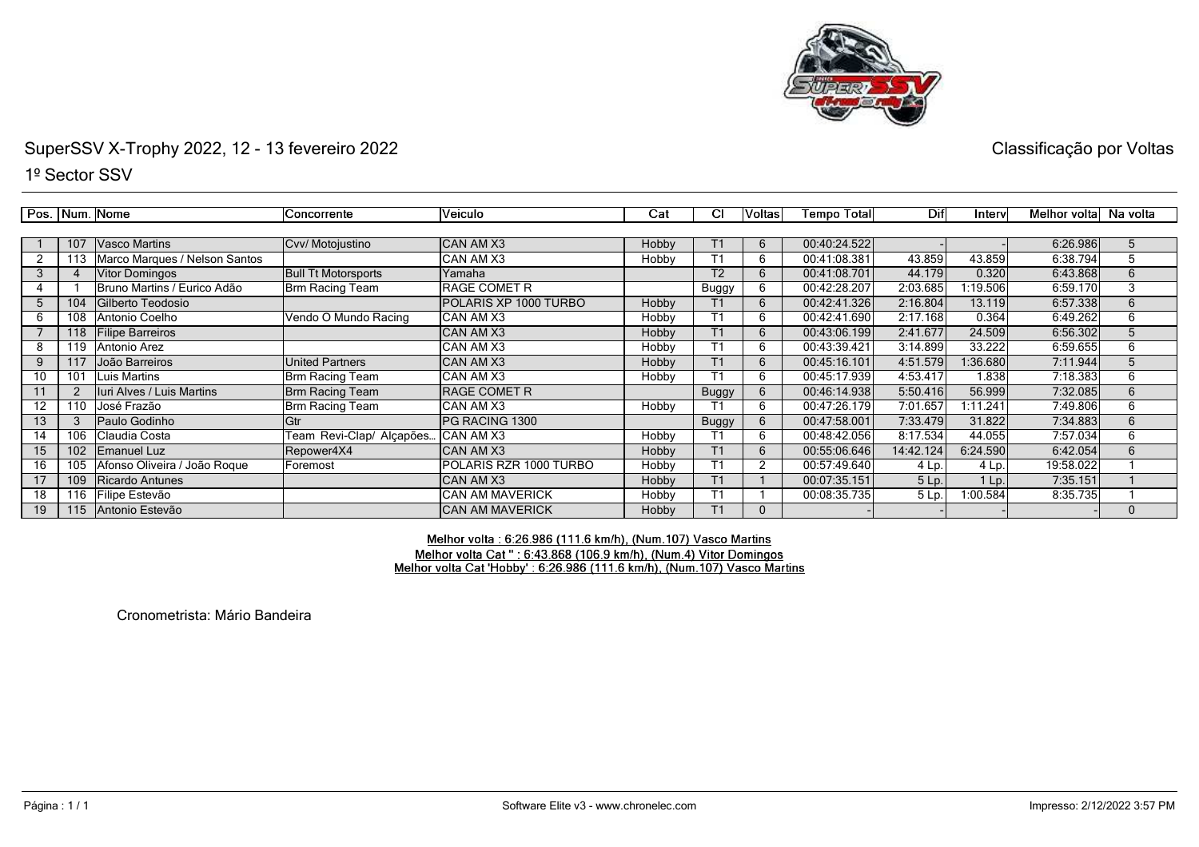

1º Sector SSV

|                 |     | Pos.   Num.   Nome            | Concorrente                | <b>Veiculo</b>               | Cat          | СI             | Voltas | <b>Tempo Total</b> | Dif       | Interv   | Melhor voltal Na volta |              |
|-----------------|-----|-------------------------------|----------------------------|------------------------------|--------------|----------------|--------|--------------------|-----------|----------|------------------------|--------------|
|                 |     |                               |                            |                              |              |                |        |                    |           |          |                        |              |
|                 | 107 | <b>Vasco Martins</b>          | Cvv/ Motojustino           | ICAN AM X3                   | <b>Hobby</b> |                | 6      | 00:40:24.522       |           |          | 6:26.986               | $\mathbf{h}$ |
|                 | 113 | Marco Marques / Nelson Santos |                            | ICAN AM X3                   | Hobby        |                | 6      | 00:41:08.381       | 43.859    | 43.859   | 6:38.794               | 5            |
|                 |     | <b>Vitor Domingos</b>         | <b>Bull Tt Motorsports</b> | Yamaha                       |              | T <sub>2</sub> | 6      | 00:41:08.701       | 44.179    | 0.320    | 6:43.868               | 6            |
|                 |     | Bruno Martins / Eurico Adão   | Brm Racing Team            | IRAGE COMET R                |              | Buggy          | 6      | 00:42:28.207       | 2:03.685  | 1:19.506 | 6:59.170               | 3            |
| 5               | 104 | Gilberto Teodosio             |                            | <b>POLARIS XP 1000 TURBO</b> | Hobby        |                | 6      | 00:42:41.326       | 2:16.804  | 13.119   | 6:57.338               | 6            |
| 6.              | 108 | Antonio Coelho                | Vendo O Mundo Racing       | ICAN AM X3                   | Hobby        |                |        | 00:42:41.690       | 2:17.168  | 0.364    | 6:49.262               | 6            |
|                 | 118 | <b>Filipe Barreiros</b>       |                            | ICAN AM X3                   | Hobby        |                | 6      | 00:43:06.199       | 2:41.677  | 24.509   | 6:56.302               |              |
| 8               | 119 | Antonio Arez                  |                            | CAN AM X3                    | Hobby        |                |        | 00:43:39.421       | 3:14.899  | 33.222   | 6:59.655               | 6            |
| 9               | 117 | João Barreiros                | <b>United Partners</b>     | ICAN AM X3                   | Hobby        | T1             | 6      | 00:45:16.101       | 4:51.579  | 1:36.680 | 7:11.944               | 5            |
| 10 <sup>°</sup> | 101 | Luis Martins                  | Brm Racing Team            | ICAN AM X3                   | Hobby        | Т1             | 6      | 00:45:17.939       | 4:53.417  | 1.838    | 7:18.383               | 6            |
|                 |     | Iuri Alves / Luis Martins     | <b>Brm Racing Team</b>     | IRAGE COMET R                |              | <b>Buggy</b>   | 6      | 00:46:14.938       | 5:50.416  | 56.999   | 7:32.085               | 6            |
| 12 <sup>2</sup> | 110 | José Frazão                   | Brm Racing Team            | CAN AM X3                    | Hobby        |                | 6      | 00:47:26.179       | 7:01.657  | 1:11.241 | 7:49.806               | 6            |
| 13              | 3   | lPaulo Godinho                | Gtr                        | <b>IPG RACING 1300</b>       |              | <b>Buggy</b>   | 6      | 00:47:58.001       | 7:33.479  | 31.822   | 7:34.883               | 6            |
| 14              | 106 | Claudia Costa                 | Feam Revi-Clap/ Alçapões   | . ICAN AM X3                 | Hobby        |                |        | 00:48:42.056       | 8:17.534  | 44.055   | 7:57.034               | 6            |
| 15              | 102 | Emanuel Luz                   | Repower4X4                 | CAN AM X3                    | Hobby        |                | 6      | 00:55:06.646       | 14:42.124 | 6:24.590 | 6:42.054               | 6            |
| 16              | 105 | Afonso Oliveira / João Roque  | Foremost                   | POLARIS RZR 1000 TURBO       | Hobby        | Т1             |        | 00:57:49.640       | 4 Lp.     | 4 Lp.    | 19:58.022              |              |
| 17              | 109 | Ricardo Antunes               |                            | ICAN AM X3                   | Hobby        | Τ1             |        | 00:07:35.151       | 5 Lp.     | $1$ Lp.  | 7:35.151               |              |
| 18              | 116 | Filipe Estevão                |                            | <b>CAN AM MAVERICK</b>       | Hobby        |                |        | 00:08:35.735       | 5 Lp.     | 1:00.584 | 8:35.735               |              |
| 19              | 115 | <b>Antonio Estevão</b>        |                            | ICAN AM MAVERICK             | Hobby        |                |        |                    |           |          |                        | $\Omega$     |

## Melhor volta : 6:26.986 (111.6 km/h), (Num.107) Vasco Martins Melhor volta Cat " : 6:43.868 (106.9 km/h), (Num.4) Vitor Domingos<br>Melhor volta Cat " : 6:43.868 (106.9 km/h), (Num.4) Vitor Domingos

Cronometrista: Mário Bandeira

Página : 1 / 1

Classificação por Voltas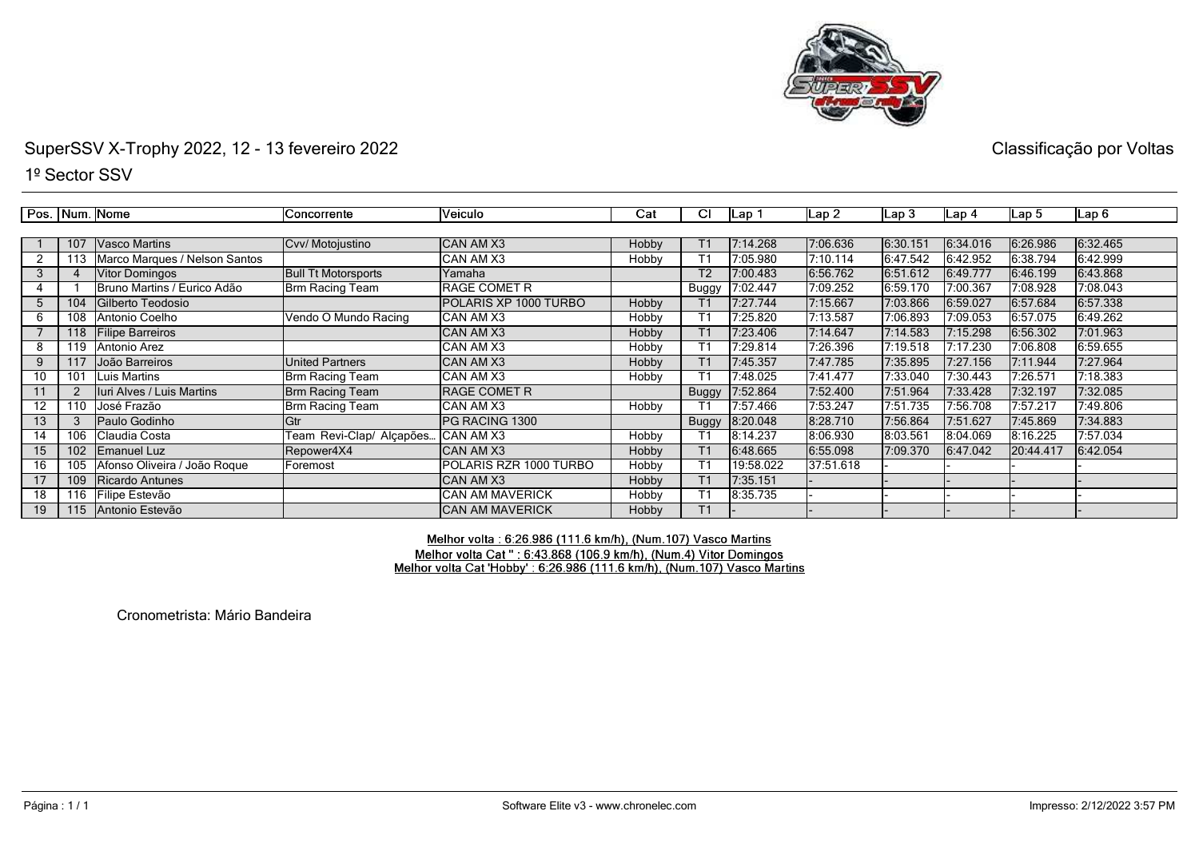

1º Sector SSV

Pos. Num. Nome Concorrente Veiculo  $\overline{\text{Cat}}$ टा  $Lap2$  $Lap<sub>1</sub>$  $Lap3$  $Lap<sub>4</sub>$ Lap 5  $Lap6$  <sup>107</sup> Vasco Martins Cvv/ Motojustino CAN AM X3 Hobby T1 7:14.268 7:06.636 6:30.151 6:34.016 6:26.986 6:32.465 122 | 113 Marco Marques / Nelson Santos | САЛ АМ X3 | Ноbby | Т1 | 7:05.980 | 7:10.114 | 6:47.542 | 6:42.952 | 6:38.794 | 6:42.999 3 <sup>4</sup> Vitor Domingos Bull Tt Motorsports Yamaha T2 7:00.483 6:56.762 6:51.612 6:49.777 6:46.199 6:43.868  $\overline{4}$ 1 Bruno Martins / Eurico Adão Brm Racing Team<br>104 Gilberto Teodosio RAGE COMET R Buggy 7:02.447 7:09.252 6:59.170 7:00.367 7:08.928 7:08.043 104 Gilberto Teodosio<br>108 Antonio Coelho Vendo O Mundo Racing CAN AM X3 5 Hobby T1 7:27.744 7:15.667 7:03.866 6:59.027 6:57.684 6:57.338 6 <sup>108</sup> Antonio Coelho Vendo O Mundo Racing CAN AM X3 Hobby T1 7:25.820 7:13.587 7:06.893 7:09.053 6:57.075 6:49.262 7 <sup>118</sup> Filipe Barreiros CAN AM X3 Hobby T1 7:23.406 7:14.647 7:14.583 7:15.298 6:56.302 7:01.963 8 <sup>119</sup> Antonio Arez CAN AM X3 Hobby T1 7:29.814 7:26.396 7:19.518 7:17.230 7:06.808 6:59.655  $\overline{9}$  <sup>117</sup> João Barreiros United Partners CAN AM X3 Hobby T1 7:45.357 7:47.785 7:35.895 7:27.156 7:11.944 7:27.964 10101 Luis Martins **Brm Racing Team**<br>2 **Juri Alves / Luis Martins** Brm Racing Team CAN AM X3 Hobby T1 7:48.025 7:41.477 7:33.040 7:30.443 7:26.571 7:18.383 112 Iuri Alves / Luis Martins<br>110 José Frazão RAGE COMET R Buggy 7:52.864 7:52.400 7:51.964 7:33.428 7:32.197 7:32.085 12110 | José Frazão **Brm Racing Team**<br>3 | Paulo Godinho | Gtr CAN AM X3 Hobby T1 7:57.466 7:53.247 7:51.735 7:56.708 7:57.217 7:49.806 133 Paulo Godinho Gtr PG RACING 1300 Buggy 8:20.048 8:28.710 7:56.864 7:51.627 7:45.869 7:34.883 106 Claudia Costa **Team Revi-Clap/ Alçapões.**<br>102 Emanuel Luz Repower4X4 14 CAN AM X3 Hobby T1 8:14.237 8:06.930 8:03.561 8:04.069 8:16.225 7:57.034 15 <sup>102</sup> Emanuel Luz Repower4X4 CAN AM X3 Hobby T1 6:48.665 6:55.098 7:09.370 6:47.042 20:44.417 6:42.054 1616 | 105 | Afonso Oliveira / João Roque | Foremost | POLARIS RZR 1000 TURBO<br>17 | 109 | Ricardo Antunes | CAN AM X3 Hobby T1 19:58.022 37:51.618 - - - - <sup>17</sup> <sup>109</sup> Ricardo Antunes CAN AM X3 Hobby T1 7:35.151 - - - - - <sup>18</sup>18 | 116 | Filipe Estevão | CAN AM MAVERICK<br>19 | 115 | Antonio Estevão | CAN AM MAVERICK Hobby T1 8:35.735 - - - - - <sup>19</sup>**CAN AM MAVERICK** Hobby T1 - - - - - -

> Melhor volta: 6:26.986 (111.6 km/h), (Num.107) Vasco Martins Melhor volta Cat ": 6:43.868 (106.9 km/h), (Num.4) Vitor Domingos Melhor volta Cat 'Hobby': 6:26.986 (111.6 km/h), (Num.107) Vasco Martins

Cronometrista: Mário Bandeira

Classificação por Voltas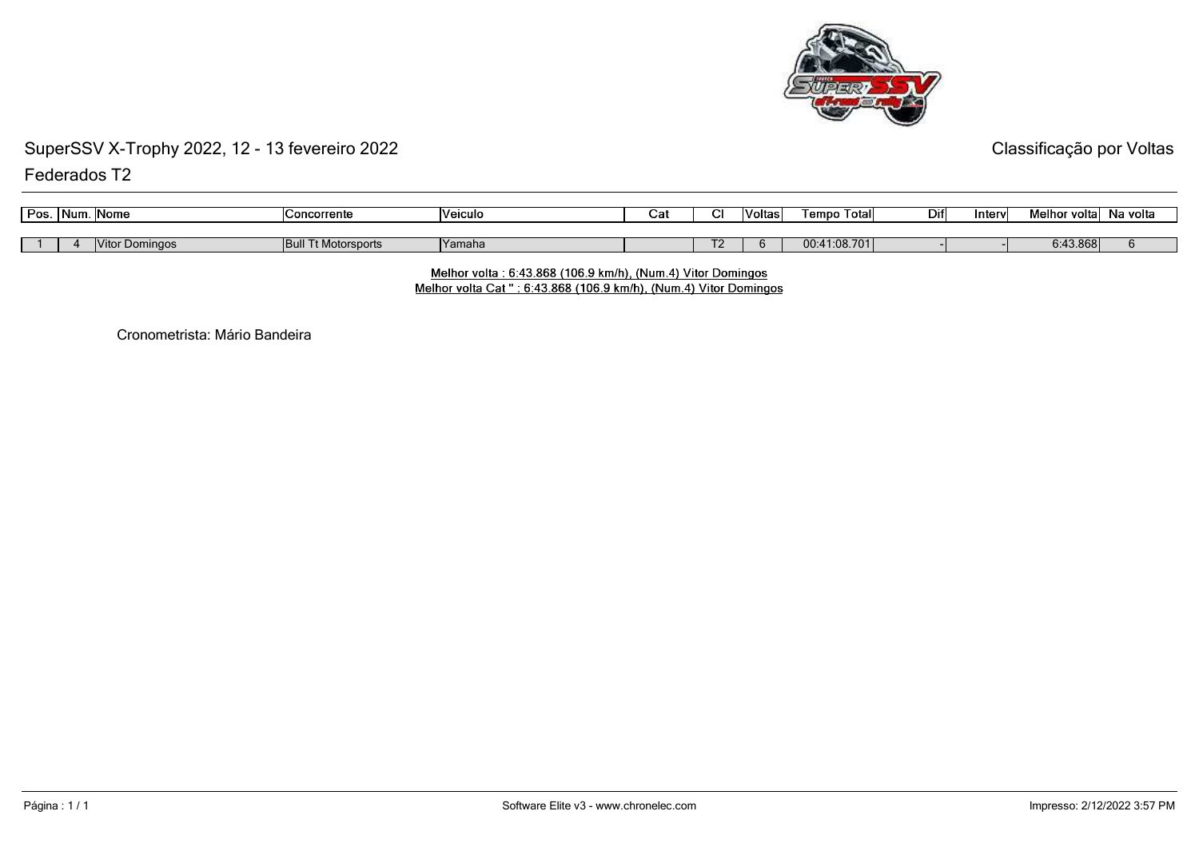

## SuperSSV X-Trophy 2022, 12 - 13 fevereiro 2022Federados T2

Classificação por Voltas

|                                                                                               |          |  |  | Veiculo | Concorrente |  |  |
|-----------------------------------------------------------------------------------------------|----------|--|--|---------|-------------|--|--|
|                                                                                               |          |  |  |         |             |  |  |
| 00:41:08.701l<br><b>Bull Tt Motorsports</b><br><b>Vitor Domingos</b><br><b>IYamaha</b><br>. . | 6:43.868 |  |  |         |             |  |  |

Melhor volta: 6:43.868 (106.9 km/h), (Num.4) Vitor Domingos Melhor volta Cat ": 6:43.868 (106.9 km/h), (Num.4) Vitor Domingos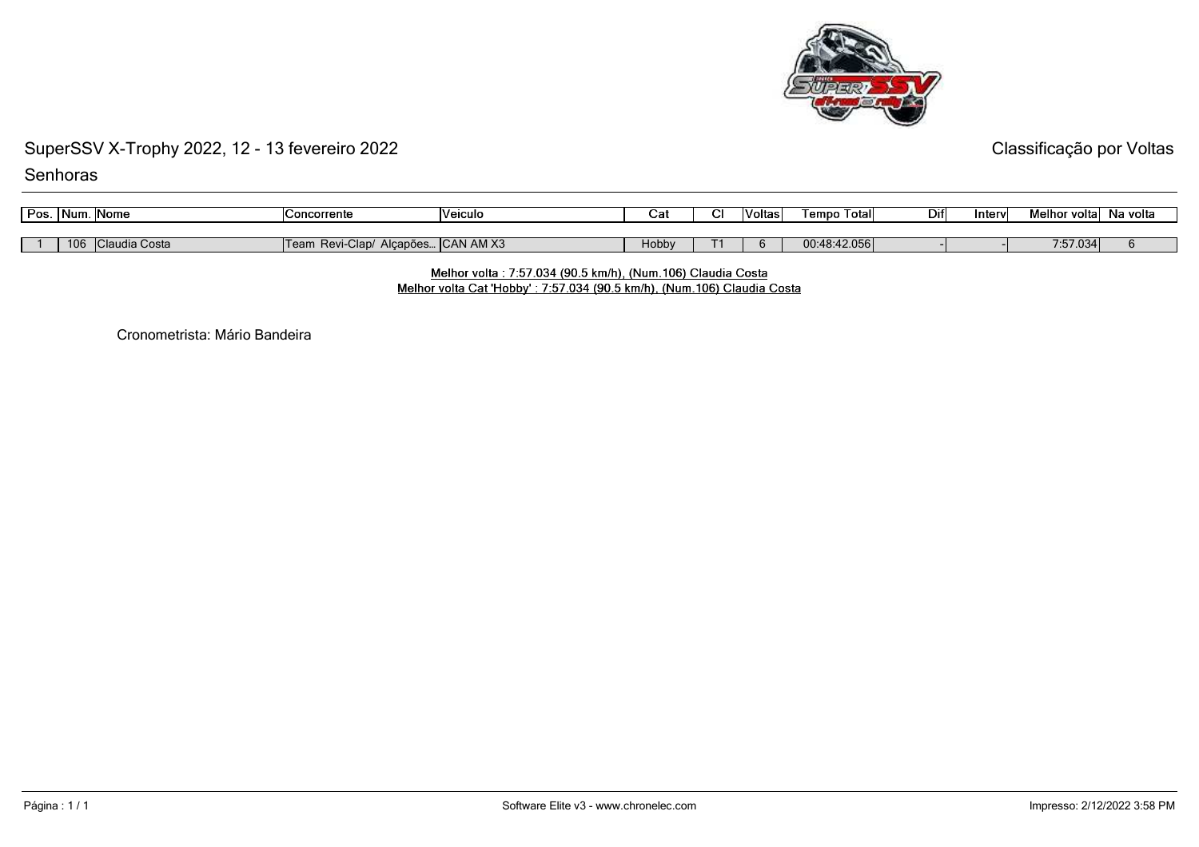

Classificação por Voltas

**Senhoras** 

| Pos. | Num. | <b>Nome</b>   | <b>Concorrente</b>        | <b>Neiculo</b>     | Ca.   | ~ | Voltas | l empo<br>Total | Dif | Inter | Melhor voltal | Na volta |
|------|------|---------------|---------------------------|--------------------|-------|---|--------|-----------------|-----|-------|---------------|----------|
|      |      |               |                           |                    |       |   |        |                 |     |       |               |          |
|      | 106  | Claudia Costa | Revi-Clap/<br><b>leam</b> | Alcapões CAN AM X3 | Hobby |   |        | 00:48:42.056    |     |       | 7:57.034      |          |

## Melhor volta : 7:57.034 (90.5 km/h), (Num.106) Claudia Costa

Melhor volta Cat 'Hobby': 7:57.034 (90.5 km/h), (Num.106) Claudia Costa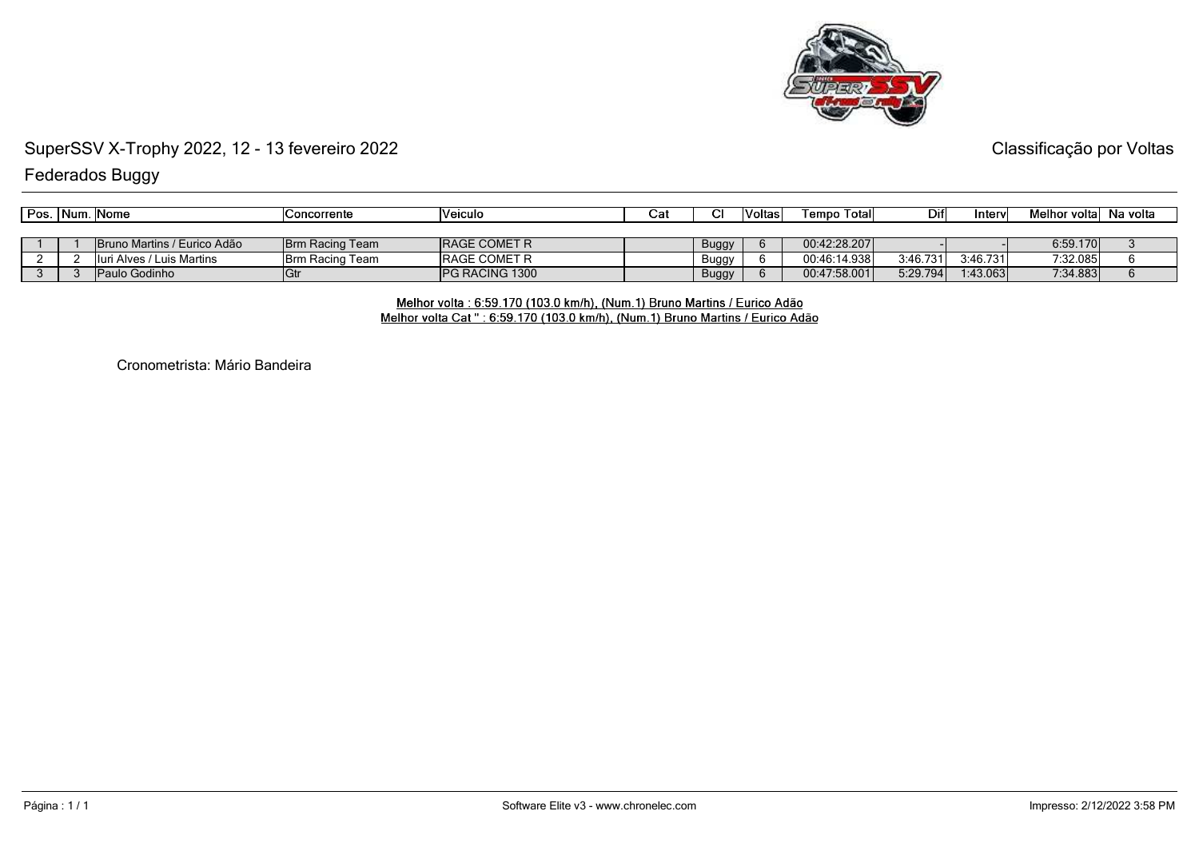

Classificação por Voltas

Federados Buggy

| ' Pos. | ∣Num | . INome                      | Concorrente             | <b>Neiculo</b>         | Cai |       | oltas l | Tempo Totall | Difl     | ntervl   | Melhor voltal Na volta |  |
|--------|------|------------------------------|-------------------------|------------------------|-----|-------|---------|--------------|----------|----------|------------------------|--|
|        |      |                              |                         |                        |     |       |         |              |          |          |                        |  |
|        |      | NBruno Martins / Eurico Adão | <b>IBrm Racing Team</b> | <b>IRAGE COMET R</b>   |     | Buggy |         | 00:42:28.207 |          |          | 6:59.170               |  |
|        |      | i Alves / Luis Martins       | <b>IBrm Racing Team</b> | <b>IRAGE COMET R</b>   |     | Buggy |         | 00:46:14.938 | 3:46.731 | 3:46.731 | 7:32.085               |  |
|        |      | Paulo Godinho                |                         | <b>IPG RACING 1300</b> |     | Buggy |         | 00:47:58.001 | 5:29.794 | 1:43.063 | 7:34.883               |  |

Melhor volta : 6:59.170 (103.0 km/h), (Num.1) Bruno Martins / Eurico Adão<br>Melhor volta Cat " : 6:59.170 (103.0 km/h), (Num.1) Bruno Martins / Eurico Adão